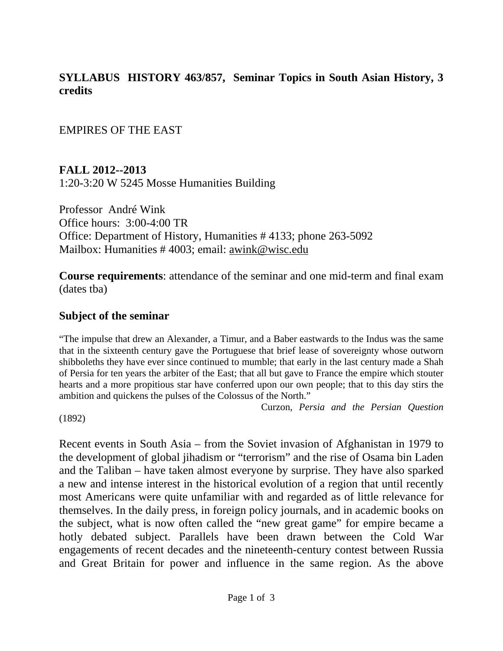### **SYLLABUS HISTORY 463/857, Seminar Topics in South Asian History, 3 credits**

EMPIRES OF THE EAST

**FALL 2012--2013** 1:20-3:20 W 5245 Mosse Humanities Building

Professor André Wink Office hours: 3:00-4:00 TR Office: Department of History, Humanities # 4133; phone 263-5092 Mailbox: Humanities # 4003; email: awink@wisc.edu

**Course requirements**: attendance of the seminar and one mid-term and final exam (dates tba)

#### **Subject of the seminar**

"The impulse that drew an Alexander, a Timur, and a Baber eastwards to the Indus was the same that in the sixteenth century gave the Portuguese that brief lease of sovereignty whose outworn shibboleths they have ever since continued to mumble; that early in the last century made a Shah of Persia for ten years the arbiter of the East; that all but gave to France the empire which stouter hearts and a more propitious star have conferred upon our own people; that to this day stirs the ambition and quickens the pulses of the Colossus of the North."

Curzon, *Persia and the Persian Question* 

(1892)

Recent events in South Asia – from the Soviet invasion of Afghanistan in 1979 to the development of global jihadism or "terrorism" and the rise of Osama bin Laden and the Taliban – have taken almost everyone by surprise. They have also sparked a new and intense interest in the historical evolution of a region that until recently most Americans were quite unfamiliar with and regarded as of little relevance for themselves. In the daily press, in foreign policy journals, and in academic books on the subject, what is now often called the "new great game" for empire became a hotly debated subject. Parallels have been drawn between the Cold War engagements of recent decades and the nineteenth-century contest between Russia and Great Britain for power and influence in the same region. As the above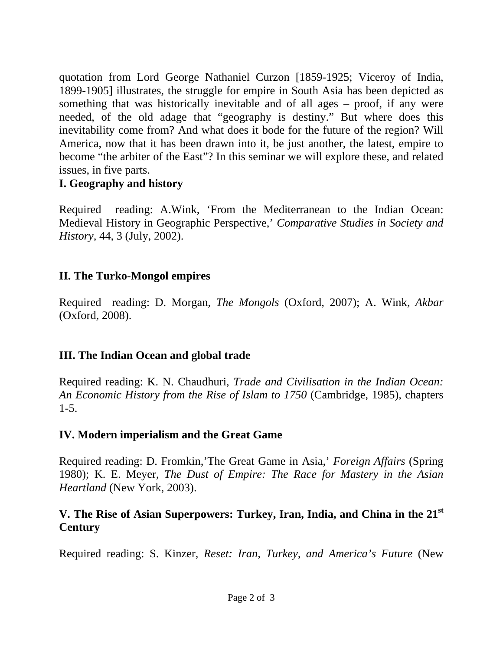quotation from Lord George Nathaniel Curzon [1859-1925; Viceroy of India, 1899-1905] illustrates, the struggle for empire in South Asia has been depicted as something that was historically inevitable and of all ages – proof, if any were needed, of the old adage that "geography is destiny." But where does this inevitability come from? And what does it bode for the future of the region? Will America, now that it has been drawn into it, be just another, the latest, empire to become "the arbiter of the East"? In this seminar we will explore these, and related issues, in five parts.

# **I. Geography and history**

Required reading: A.Wink, 'From the Mediterranean to the Indian Ocean: Medieval History in Geographic Perspective,' *Comparative Studies in Society and History,* 44, 3 (July, 2002).

# **II. The Turko-Mongol empires**

Required reading: D. Morgan, *The Mongols* (Oxford, 2007); A. Wink, *Akbar* (Oxford, 2008).

### **III. The Indian Ocean and global trade**

Required reading: K. N. Chaudhuri, *Trade and Civilisation in the Indian Ocean: An Economic History from the Rise of Islam to 1750* (Cambridge, 1985), chapters  $1 - 5$ .

### **IV. Modern imperialism and the Great Game**

Required reading: D. Fromkin,'The Great Game in Asia,' *Foreign Affairs* (Spring 1980); K. E. Meyer, *The Dust of Empire: The Race for Mastery in the Asian Heartland* (New York, 2003).

# **V. The Rise of Asian Superpowers: Turkey, Iran, India, and China in the 21st Century**

Required reading: S. Kinzer, *Reset: Iran, Turkey, and America's Future* (New